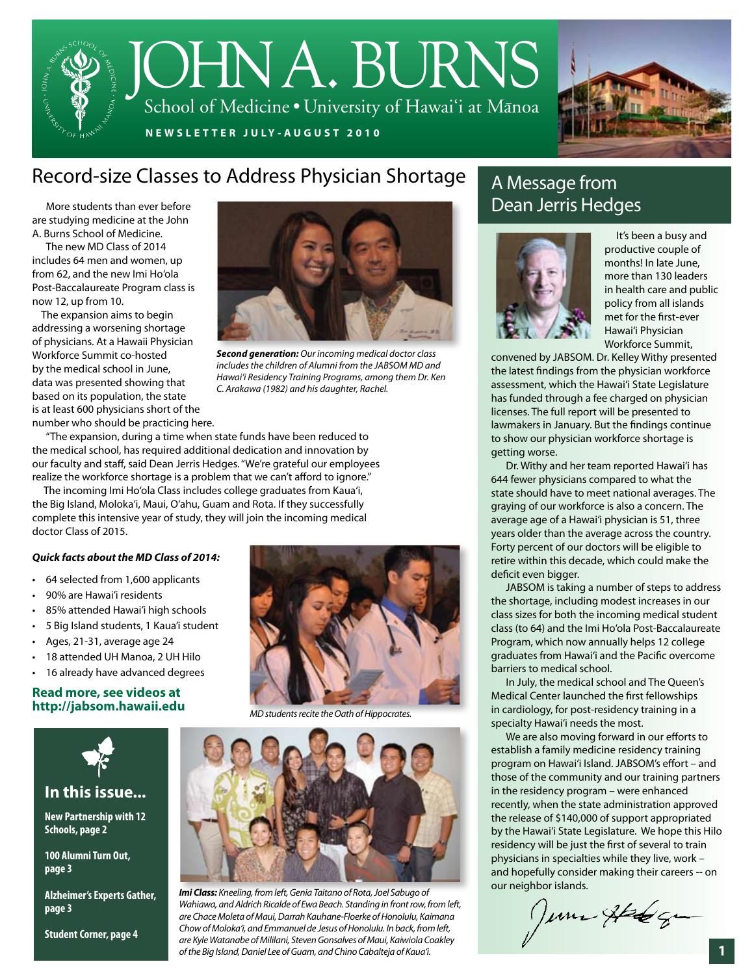## JOHNA.BURNS School of Medicine • University of Hawai'i at Manoa

**NEWSLET TER JULY-A UGUST 2010**